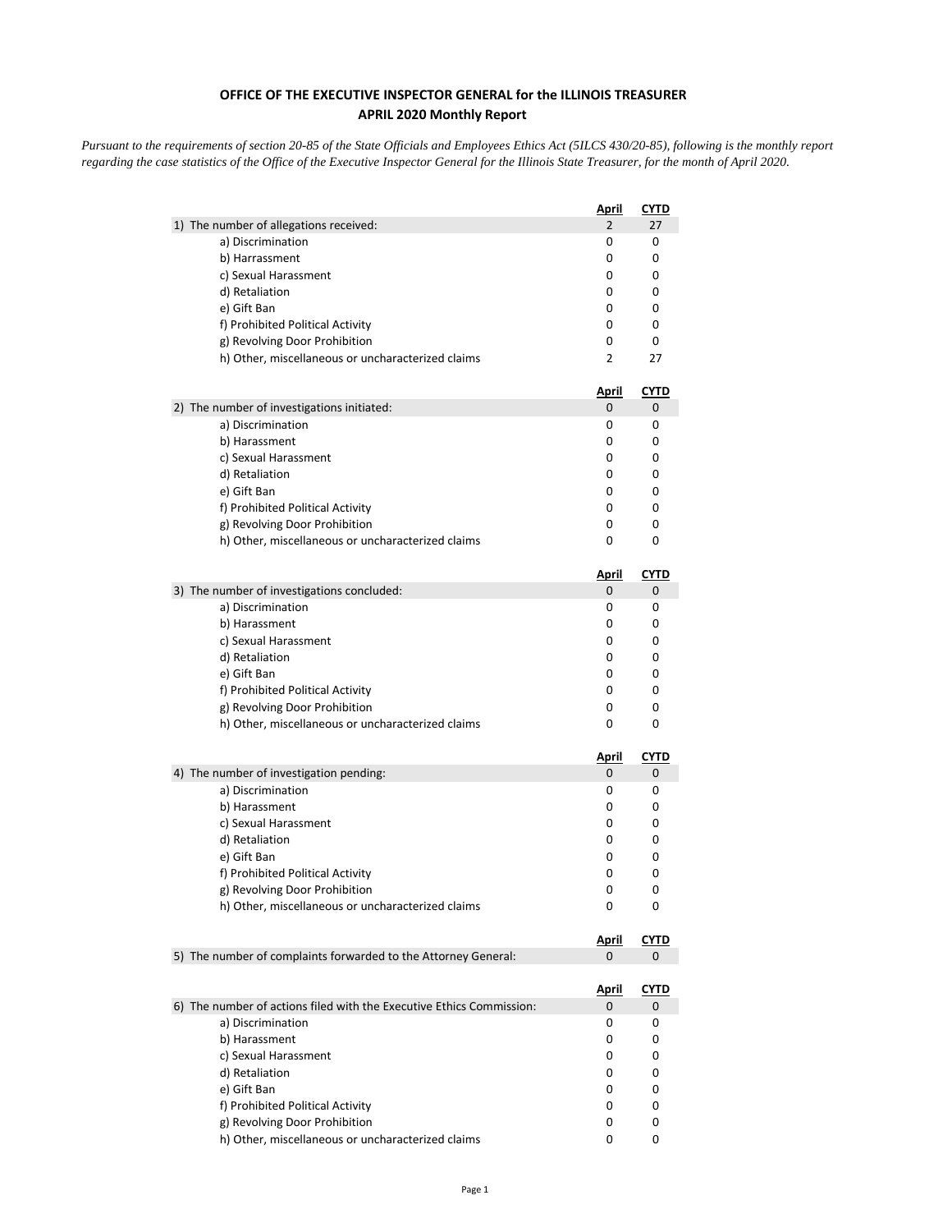## **OFFICE OF THE EXECUTIVE INSPECTOR GENERAL for the ILLINOIS TREASURER APRIL 2020 Monthly Report**

*Pursuant to the requirements of section 20-85 of the State Officials and Employees Ethics Act (5ILCS 430/20-85), following is the monthly report regarding the case statistics of the Office of the Executive Inspector General for the Illinois State Treasurer, for the month of April 2020.* 

|                                                                                    | <u>April</u>      | <u>CYTD</u>      |
|------------------------------------------------------------------------------------|-------------------|------------------|
| 1) The number of allegations received:                                             | $\overline{2}$    | 27               |
| a) Discrimination                                                                  | 0                 | 0                |
| b) Harrassment                                                                     | 0                 | 0                |
| c) Sexual Harassment                                                               | 0                 | 0                |
| d) Retaliation                                                                     | 0                 | 0                |
| e) Gift Ban                                                                        | 0                 | 0                |
| f) Prohibited Political Activity                                                   | 0                 | 0                |
| g) Revolving Door Prohibition                                                      | 0                 | 0                |
| h) Other, miscellaneous or uncharacterized claims                                  | 2                 | 27               |
|                                                                                    | <u>April</u>      | <b>CYTD</b>      |
| 2) The number of investigations initiated:                                         | 0                 | 0                |
| a) Discrimination                                                                  | 0                 | 0                |
| b) Harassment                                                                      | 0                 | 0                |
| c) Sexual Harassment                                                               | 0                 | 0                |
| d) Retaliation                                                                     | 0                 | 0                |
| e) Gift Ban                                                                        | 0                 | 0                |
| f) Prohibited Political Activity                                                   | 0                 | 0                |
| g) Revolving Door Prohibition                                                      | 0                 | 0                |
| h) Other, miscellaneous or uncharacterized claims                                  | 0                 | 0                |
|                                                                                    | <u>April</u>      | <b>CYTD</b>      |
| 3) The number of investigations concluded:                                         | 0                 | 0                |
| a) Discrimination                                                                  | 0                 | 0                |
| b) Harassment                                                                      | 0                 | 0                |
| c) Sexual Harassment                                                               | 0                 | 0                |
| d) Retaliation                                                                     | 0                 | 0                |
| e) Gift Ban                                                                        | 0                 | 0                |
| f) Prohibited Political Activity                                                   | 0                 | 0                |
| g) Revolving Door Prohibition                                                      | 0                 | 0                |
| h) Other, miscellaneous or uncharacterized claims                                  | 0                 | 0                |
|                                                                                    | <u>April</u>      | <b>CYTD</b>      |
| 4) The number of investigation pending:                                            | 0                 | 0                |
| a) Discrimination                                                                  | 0                 | 0                |
| b) Harassment                                                                      | 0                 | 0                |
| c) Sexual Harassment                                                               | 0                 | 0                |
| d) Retaliation                                                                     | 0                 | 0                |
| e) Gift Ban                                                                        | 0                 | 0                |
| f) Prohibited Political Activity                                                   | 0                 | 0                |
| g) Revolving Door Prohibition<br>h) Other, miscellaneous or uncharacterized claims | 0<br>0            | 0<br>0           |
|                                                                                    |                   |                  |
| 5) The number of complaints forwarded to the Attorney General:                     | <u>April</u><br>0 | <b>CYTD</b><br>0 |
|                                                                                    |                   |                  |
|                                                                                    | <u>April</u>      | <u>CYTD</u>      |
| 6) The number of actions filed with the Executive Ethics Commission:               | 0                 | 0                |
| a) Discrimination                                                                  | 0                 | 0                |
| b) Harassment                                                                      | 0                 | 0                |
| c) Sexual Harassment                                                               | 0                 | 0                |
| d) Retaliation                                                                     | 0                 | 0                |
| e) Gift Ban                                                                        | 0                 | 0                |
| f) Prohibited Political Activity                                                   | 0                 | 0                |
| g) Revolving Door Prohibition<br>h) Other, miscellaneous or uncharacterized claims | 0<br>0            | 0<br>0           |
|                                                                                    |                   |                  |